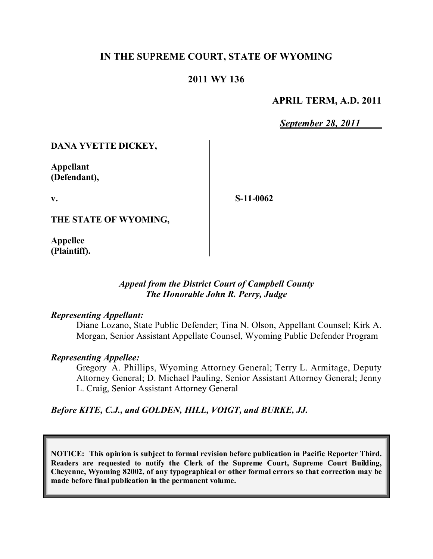## **IN THE SUPREME COURT, STATE OF WYOMING**

### **2011 WY 136**

#### **APRIL TERM, A.D. 2011**

*September 28, 2011*

### **DANA YVETTE DICKEY,**

**Appellant (Defendant),**

**v.**

**S-11-0062**

**THE STATE OF WYOMING,**

**Appellee (Plaintiff).**

### *Appeal from the District Court of Campbell County The Honorable John R. Perry, Judge*

#### *Representing Appellant:*

Diane Lozano, State Public Defender; Tina N. Olson, Appellant Counsel; Kirk A. Morgan, Senior Assistant Appellate Counsel, Wyoming Public Defender Program

#### *Representing Appellee:*

Gregory A. Phillips, Wyoming Attorney General; Terry L. Armitage, Deputy Attorney General; D. Michael Pauling, Senior Assistant Attorney General; Jenny L. Craig, Senior Assistant Attorney General

#### *Before KITE, C.J., and GOLDEN, HILL, VOIGT, and BURKE, JJ.*

**NOTICE: This opinion is subject to formal revision before publication in Pacific Reporter Third. Readers are requested to notify the Clerk of the Supreme Court, Supreme Court Building, Cheyenne, Wyoming 82002, of any typographical or other formal errors so that correction may be made before final publication in the permanent volume.**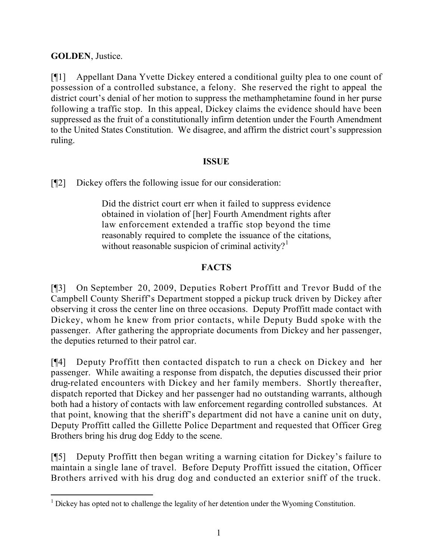# **GOLDEN**, Justice.

[¶1] Appellant Dana Yvette Dickey entered a conditional guilty plea to one count of possession of a controlled substance, a felony. She reserved the right to appeal the district court's denial of her motion to suppress the methamphetamine found in her purse following a traffic stop. In this appeal, Dickey claims the evidence should have been suppressed as the fruit of a constitutionally infirm detention under the Fourth Amendment to the United States Constitution. We disagree, and affirm the district court's suppression ruling.

# **ISSUE**

[¶2] Dickey offers the following issue for our consideration:

Did the district court err when it failed to suppress evidence obtained in violation of [her] Fourth Amendment rights after law enforcement extended a traffic stop beyond the time reasonably required to complete the issuance of the citations, without reasonable suspicion of criminal activity?<sup>1</sup>

# **FACTS**

[¶3] On September 20, 2009, Deputies Robert Proffitt and Trevor Budd of the Campbell County Sheriff's Department stopped a pickup truck driven by Dickey after observing it cross the center line on three occasions. Deputy Proffitt made contact with Dickey, whom he knew from prior contacts, while Deputy Budd spoke with the passenger. After gathering the appropriate documents from Dickey and her passenger, the deputies returned to their patrol car.

[¶4] Deputy Proffitt then contacted dispatch to run a check on Dickey and her passenger. While awaiting a response from dispatch, the deputies discussed their prior drug-related encounters with Dickey and her family members. Shortly thereafter, dispatch reported that Dickey and her passenger had no outstanding warrants, although both had a history of contacts with law enforcement regarding controlled substances. At that point, knowing that the sheriff's department did not have a canine unit on duty, Deputy Proffitt called the Gillette Police Department and requested that Officer Greg Brothers bring his drug dog Eddy to the scene.

[¶5] Deputy Proffitt then began writing a warning citation for Dickey's failure to maintain a single lane of travel. Before Deputy Proffitt issued the citation, Officer Brothers arrived with his drug dog and conducted an exterior sniff of the truck.

 <sup>1</sup> Dickey has opted not to challenge the legality of her detention under the Wyoming Constitution.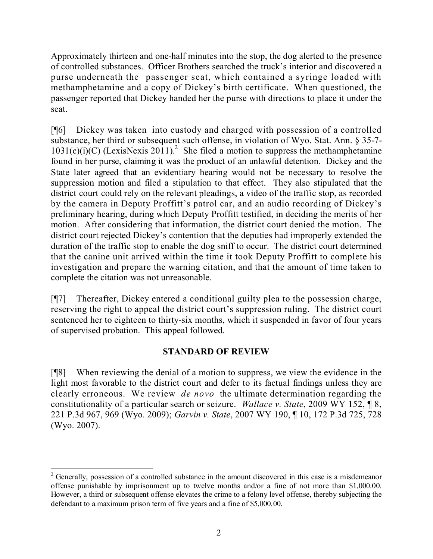Approximately thirteen and one-half minutes into the stop, the dog alerted to the presence of controlled substances. Officer Brothers searched the truck's interior and discovered a purse underneath the passenger seat, which contained a syringe loaded with methamphetamine and a copy of Dickey's birth certificate. When questioned, the passenger reported that Dickey handed her the purse with directions to place it under the seat.

[¶6] Dickey was taken into custody and charged with possession of a controlled substance, her third or subsequent such offense, in violation of Wyo. Stat. Ann. § 35-7-  $1031(c)(i)(C)$  (LexisNexis 2011).<sup>2</sup> She filed a motion to suppress the methamphetamine found in her purse, claiming it was the product of an unlawful detention. Dickey and the State later agreed that an evidentiary hearing would not be necessary to resolve the suppression motion and filed a stipulation to that effect. They also stipulated that the district court could rely on the relevant pleadings, a video of the traffic stop, as recorded by the camera in Deputy Proffitt's patrol car, and an audio recording of Dickey's preliminary hearing, during which Deputy Proffitt testified, in deciding the merits of her motion. After considering that information, the district court denied the motion. The district court rejected Dickey's contention that the deputies had improperly extended the duration of the traffic stop to enable the dog sniff to occur. The district court determined that the canine unit arrived within the time it took Deputy Proffitt to complete his investigation and prepare the warning citation, and that the amount of time taken to complete the citation was not unreasonable.

[¶7] Thereafter, Dickey entered a conditional guilty plea to the possession charge, reserving the right to appeal the district court's suppression ruling. The district court sentenced her to eighteen to thirty-six months, which it suspended in favor of four years of supervised probation. This appeal followed.

### **STANDARD OF REVIEW**

[¶8] When reviewing the denial of a motion to suppress, we view the evidence in the light most favorable to the district court and defer to its factual findings unless they are clearly erroneous. We review *de novo* the ultimate determination regarding the constitutionality of a particular search or seizure. *Wallace v. State*, 2009 WY 152, ¶ 8, 221 P.3d 967, 969 (Wyo. 2009); *Garvin v. State*, 2007 WY 190, ¶ 10, 172 P.3d 725, 728 (Wyo. 2007).

 $\overline{a}$  $2^2$  Generally, possession of a controlled substance in the amount discovered in this case is a misdemeanor offense punishable by imprisonment up to twelve months and/or a fine of not more than \$1,000.00. However, a third or subsequent offense elevates the crime to a felony level offense, thereby subjecting the defendant to a maximum prison term of five years and a fine of \$5,000.00.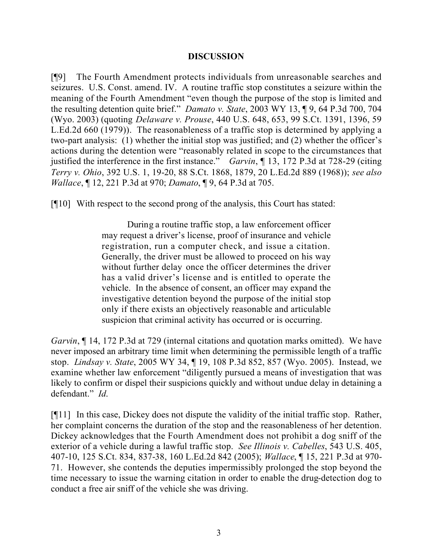### **DISCUSSION**

[¶9] The Fourth Amendment protects individuals from unreasonable searches and seizures. U.S. Const. amend. IV. A routine traffic stop constitutes a seizure within the meaning of the Fourth Amendment "even though the purpose of the stop is limited and the resulting detention quite brief." *Damato v. State*, 2003 WY 13, ¶ 9, 64 P.3d 700, 704 (Wyo. 2003) (quoting *Delaware v. Prouse*, 440 U.S. 648, 653, 99 S.Ct. 1391, 1396, 59 L.Ed.2d 660 (1979)). The reasonableness of a traffic stop is determined by applying a two-part analysis: (1) whether the initial stop was justified; and (2) whether the officer's actions during the detention were "reasonably related in scope to the circumstances that justified the interference in the first instance." *Garvin*, ¶ 13, 172 P.3d at 728-29 (citing *Terry v. Ohio*, 392 U.S. 1, 19-20, 88 S.Ct. 1868, 1879, 20 L.Ed.2d 889 (1968)); *see also Wallace*, ¶ 12, 221 P.3d at 970; *Damato*, ¶ 9, 64 P.3d at 705.

[¶10] With respect to the second prong of the analysis, this Court has stated:

During a routine traffic stop, a law enforcement officer may request a driver's license, proof of insurance and vehicle registration, run a computer check, and issue a citation. Generally, the driver must be allowed to proceed on his way without further delay once the officer determines the driver has a valid driver's license and is entitled to operate the vehicle. In the absence of consent, an officer may expand the investigative detention beyond the purpose of the initial stop only if there exists an objectively reasonable and articulable suspicion that criminal activity has occurred or is occurring.

*Garvin*, 14, 172 P.3d at 729 (internal citations and quotation marks omitted). We have never imposed an arbitrary time limit when determining the permissible length of a traffic stop. *Lindsay v. State*, 2005 WY 34, ¶ 19, 108 P.3d 852, 857 (Wyo. 2005). Instead, we examine whether law enforcement "diligently pursued a means of investigation that was likely to confirm or dispel their suspicions quickly and without undue delay in detaining a defendant." *Id*.

[¶11] In this case, Dickey does not dispute the validity of the initial traffic stop. Rather, her complaint concerns the duration of the stop and the reasonableness of her detention. Dickey acknowledges that the Fourth Amendment does not prohibit a dog sniff of the exterior of a vehicle during a lawful traffic stop. *See Illinois v. Cabelles*, 543 U.S. 405, 407-10, 125 S.Ct. 834, 837-38, 160 L.Ed.2d 842 (2005); *Wallace*, ¶ 15, 221 P.3d at 970- 71. However, she contends the deputies impermissibly prolonged the stop beyond the time necessary to issue the warning citation in order to enable the drug-detection dog to conduct a free air sniff of the vehicle she was driving.